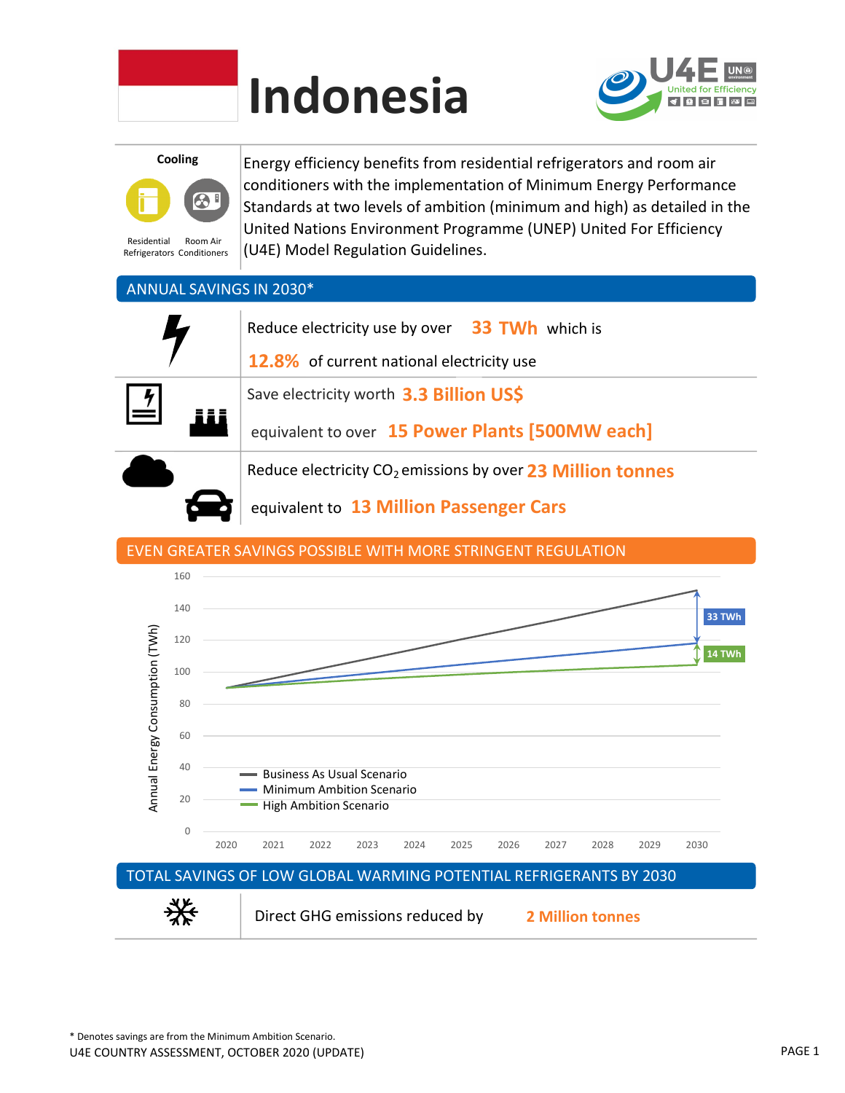

# Indonesia



Cooling



Residential Refrigerators Conditioners Room Air

Energy efficiency benefits from residential refrigerators and room air conditioners with the implementation of Minimum Energy Performance Standards at two levels of ambition (minimum and high) as detailed in the United Nations Environment Programme (UNEP) United For Efficiency (U4E) Model Regulation Guidelines.

### ANNUAL SAVINGS IN 2030\*

| Reduce electricity use by over 33 TWh which is<br><b>12.8%</b> of current national electricity use |
|----------------------------------------------------------------------------------------------------|
| Save electricity worth 3.3 Billion US\$                                                            |
| equivalent to over 15 Power Plants [500MW each]                                                    |
| Reduce electricity CO <sub>2</sub> emissions by over 23 Million tonnes                             |
|                                                                                                    |

equivalent to 13 Million Passenger Cars

## EVEN GREATER SAVINGS POSSIBLE WITH MORE STRINGENT REGULATION

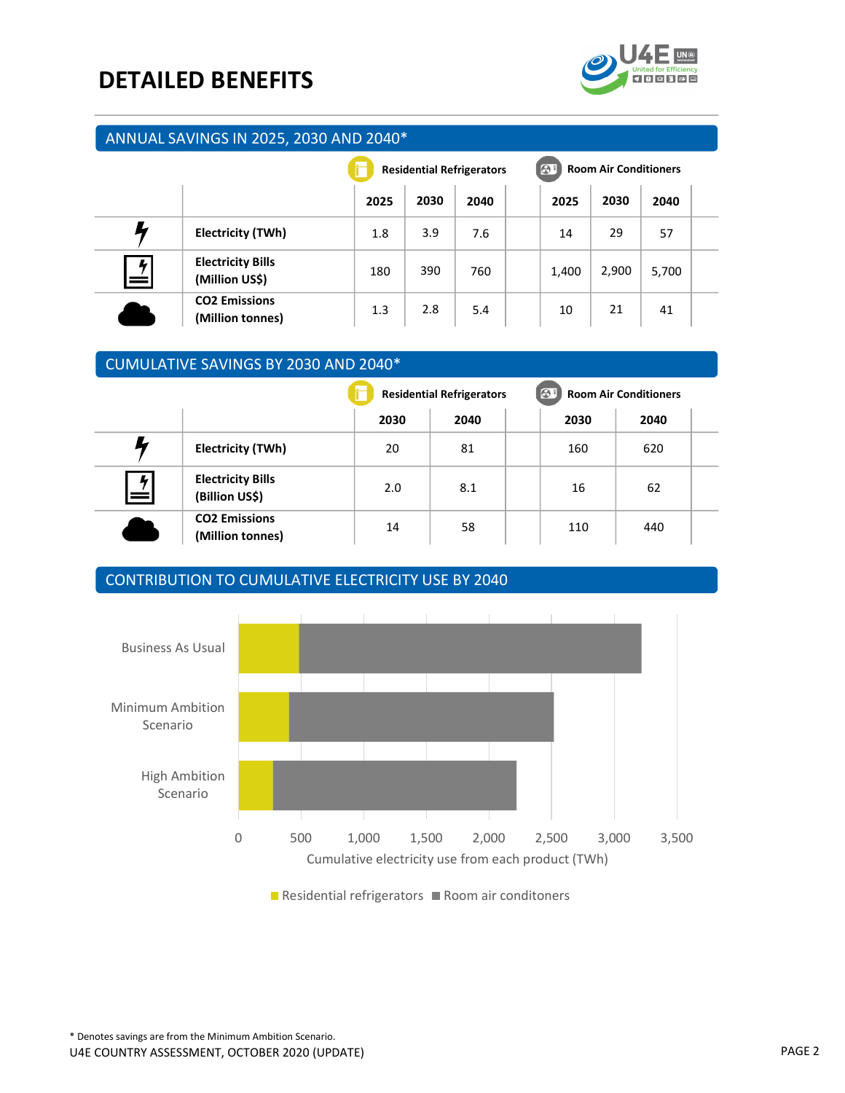## DETAILED BENEFITS



#### ANNUAL SAVINGS IN 2025, 2030 AND 2040\*

|                     |                                            | <b>Residential Refrigerators</b> |      |      | 81<br><b>Room Air Conditioners</b> |       |       |  |
|---------------------|--------------------------------------------|----------------------------------|------|------|------------------------------------|-------|-------|--|
|                     |                                            | 2025                             | 2030 | 2040 | 2025                               | 2030  | 2040  |  |
|                     | Electricity (TWh)                          | 1.8                              | 3.9  | 7.6  | 14                                 | 29    | 57    |  |
| $\mathbf{z}_1$<br>= | <b>Electricity Bills</b><br>(Million US\$) | 180                              | 390  | 760  | 1,400                              | 2,900 | 5,700 |  |
|                     | <b>CO2 Emissions</b><br>(Million tonnes)   | 1.3                              | 2.8  | 5.4  | 10                                 | 21    | 41    |  |

#### CUMULATIVE SAVINGS BY 2030 AND 2040\*

|               |                                            |      | <b>Residential Refrigerators</b> | $\Theta$ | <b>Room Air Conditioners</b> |  |  |
|---------------|--------------------------------------------|------|----------------------------------|----------|------------------------------|--|--|
|               |                                            | 2030 | 2040                             | 2030     | 2040                         |  |  |
|               | Electricity (TWh)                          | 20   | 81                               | 160      | 620                          |  |  |
| 4<br>$\, =\,$ | <b>Electricity Bills</b><br>(Billion US\$) | 2.0  | 8.1                              | 16       | 62                           |  |  |
|               | <b>CO2 Emissions</b><br>(Million tonnes)   | 14   | 58                               | 110      | 440                          |  |  |

#### CONTRIBUTION TO CUMULATIVE ELECTRICITY USE BY 2040



Residential refrigerators Room air conditoners